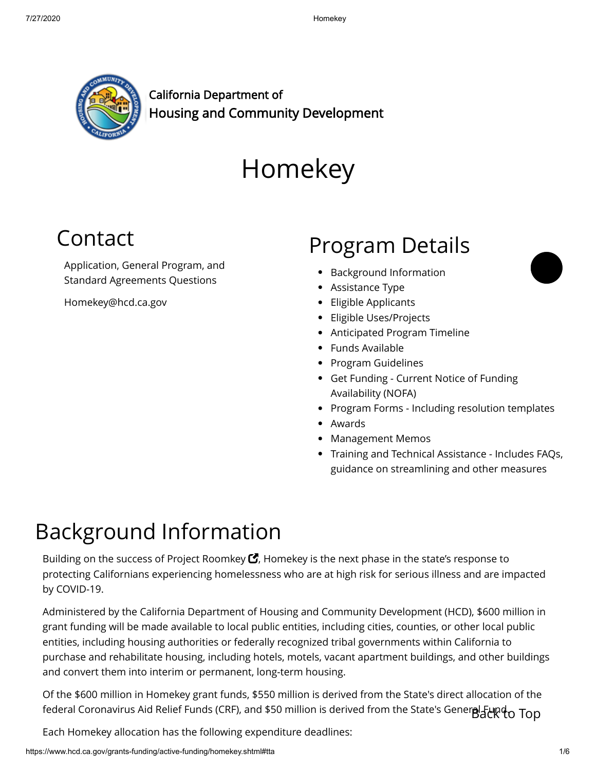

California Department of Housing and Community Development

# Homekey

### <span id="page-0-1"></span>Contact

Application, General Program, and Standard Agreements Questions

[Homekey@hcd.ca.gov](mailto:HomeKey@hcd.ca.gov)

### Program Details

- [Background Information](#page-0-0)
- [Assistance Type](#page-1-0)
- [Eligible Applicants](#page-1-1)
- [Eligible Uses/Projects](#page-1-2)
- [Anticipated Program Timeline](#page-2-0)
- [Funds Available](#page-2-1)
- [Program Guidelines](#page-3-0)
- [Get Funding](#page-3-1) Current Notice of Funding Availability (NOFA)
- [Program Forms](#page-3-2)  Including resolution templates
- [Awards](#page-3-3)
- Management Memos
- [Training and Technical Assistance](#page-4-0)  Includes FAQs, guidance on streamlining and other measures

## <span id="page-0-0"></span>Background Information

Building on the success of Project Roomkey  $\mathbf C$ , Homekey is the next phase in the state's response to protecting Californians experiencing homelessness who are at high risk for serious illness and are impacted by COVID-19.

Administered by the California Department of Housing and Community Development (HCD), \$600 million in grant funding will be made available to local public entities, including cities, counties, or other local public entities, including housing authorities or federally recognized tribal governments within California to purchase and rehabilitate housing, including hotels, motels, vacant apartment buildings, and other buildings and convert them into interim or permanent, long-term housing.

Of the \$600 million in Homekey grant funds, \$550 million is derived from the State's direct allocation of the federal Coronavirus Aid Relief Funds (CRF), and \$50 million is derived from the State's Gener**al Fund.** Top

Each Homekey allocation has the following expenditure deadlines:

 $\bullet$  $\bullet$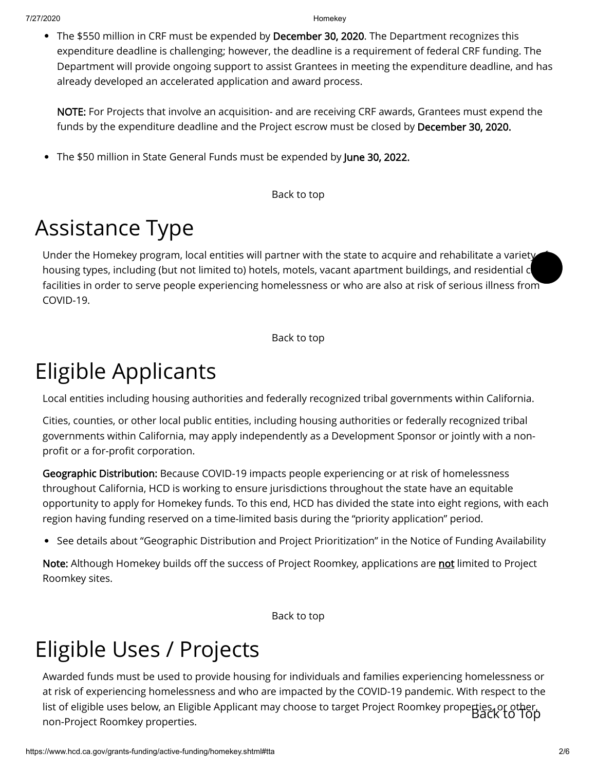• The \$550 million in CRF must be expended by December 30, 2020. The Department recognizes this expenditure deadline is challenging; however, the deadline is a requirement of federal CRF funding. The Department will provide ongoing support to assist Grantees in meeting the expenditure deadline, and has already developed an accelerated application and award process.

NOTE: For Projects that involve an acquisition- and are receiving CRF awards, Grantees must expend the funds by the expenditure deadline and the Project escrow must be closed by December 30, 2020.

The \$50 million in State General Funds must be expended by June 30, 2022.

[Back to top](#page-0-1)

# <span id="page-1-0"></span>Assistance Type

Under the Homekey program, local entities will partner with the state to acquire and rehabilitate a variety housing types, including (but not limited to) hotels, motels, vacant apartment buildings, and residential conta facilities in order to serve people experiencing homelessness or who are also at risk of serious illness from COVID-19. **Original** 

[Back to top](#page-0-1)

### <span id="page-1-1"></span>Eligible Applicants

Local entities including housing authorities and federally recognized tribal governments within California.

Cities, counties, or other local public entities, including housing authorities or federally recognized tribal governments within California, may apply independently as a Development Sponsor or jointly with a nonprofit or a for-profit corporation.

Geographic Distribution: Because COVID-19 impacts people experiencing or at risk of homelessness throughout California, HCD is working to ensure jurisdictions throughout the state have an equitable opportunity to apply for Homekey funds. To this end, HCD has divided the state into eight regions, with each region having funding reserved on a time-limited basis during the "priority application" period.

See details about "Geographic Distribution and Project Prioritization" in the [Notice of Funding Availability](#page-3-1)

Note: Although Homekey builds off the success of Project Roomkey, applications are not limited to Project Roomkey sites.

[Back to top](#page-0-1)

### <span id="page-1-2"></span>Eligible Uses / Projects

Awarded funds must be used to provide housing for individuals and families experiencing homelessness or at risk of experiencing homelessness and who are impacted by the COVID-19 pandemic. With respect to the list of eligible uses below, an Eligible Applicant may choose to target Project Roomkey properties, or other, non-Project Roomkey properties. Back to Top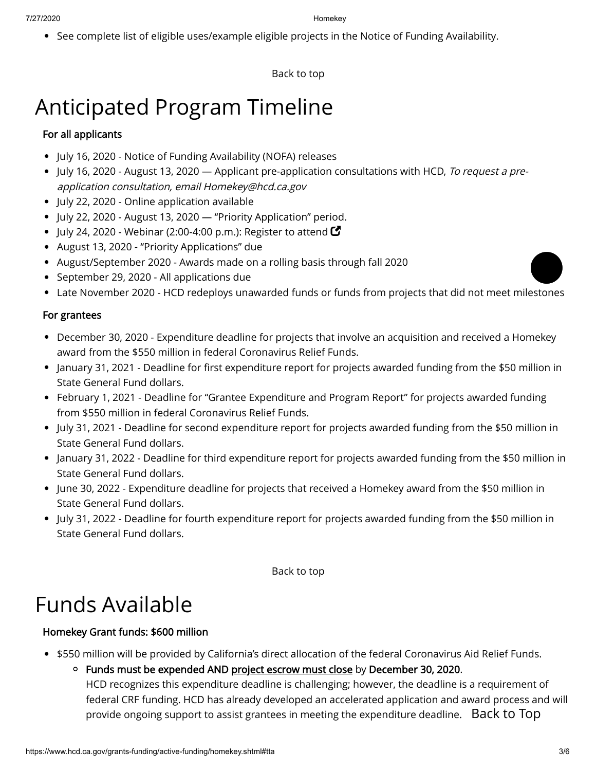• See complete list of eligible uses/example eligible projects in the [Notice of Funding Availability.](#page-3-1)

[Back to top](#page-0-1)

# <span id="page-2-0"></span>Anticipated Program Timeline

#### For all applicants

- July 16, 2020 Notice of Funding Availability (NOFA) releases
- July 16, 2020 August 13, 2020 Applicant pre-application consultations with HCD, To request a preapplication consultation, email [Homekey@hcd.ca.gov](mailto:Homekey@hcd.ca.gov)
- July 22, 2020 Online application available
- July 22, 2020 August 13, 2020 "Priority Application" period.
- July 24, 2020 Webinar (2:00-4:00 p.m.): [Register to attend](https://www.eventbrite.com/e/homekey-program-notice-of-funding-availability-tickets-113723865142)  $\blacksquare$
- August 13, 2020 "Priority Applications" due
- August/September 2020 Awards made on a rolling basis through fall 2020
- September 29, 2020 All applications due
- Late November 2020 HCD redeploys unawarded funds or funds from projects that did not meet milestones

#### For grantees

- December 30, 2020 Expenditure deadline for projects that involve an acquisition and received a Homekey award from the \$550 million in federal Coronavirus Relief Funds.
- January 31, 2021 Deadline for first expenditure report for projects awarded funding from the \$50 million in State General Fund dollars.
- February 1, 2021 Deadline for "Grantee Expenditure and Program Report" for projects awarded funding from \$550 million in federal Coronavirus Relief Funds.
- July 31, 2021 Deadline for second expenditure report for projects awarded funding from the \$50 million in State General Fund dollars.
- January 31, 2022 Deadline for third expenditure report for projects awarded funding from the \$50 million in State General Fund dollars.
- June 30, 2022 Expenditure deadline for projects that received a Homekey award from the \$50 million in State General Fund dollars.
- July 31, 2022 Deadline for fourth expenditure report for projects awarded funding from the \$50 million in State General Fund dollars.

[Back to top](#page-0-1)

### <span id="page-2-1"></span>Funds Available

#### Homekey Grant funds: \$600 million

- \$550 million will be provided by California's direct allocation of the federal Coronavirus Aid Relief Funds.
	- $\circ$  Funds must be expended AND project escrow must close by December 30, 2020. HCD recognizes this expenditure deadline is challenging; however, the deadline is a requirement of federal CRF funding. HCD has already developed an accelerated application and award process and will provide ongoing support to assist grantees in meeting the expenditure deadline.  $\,$  <code>Back</code> <code>to Top</code>

 $\bullet$  $\bullet$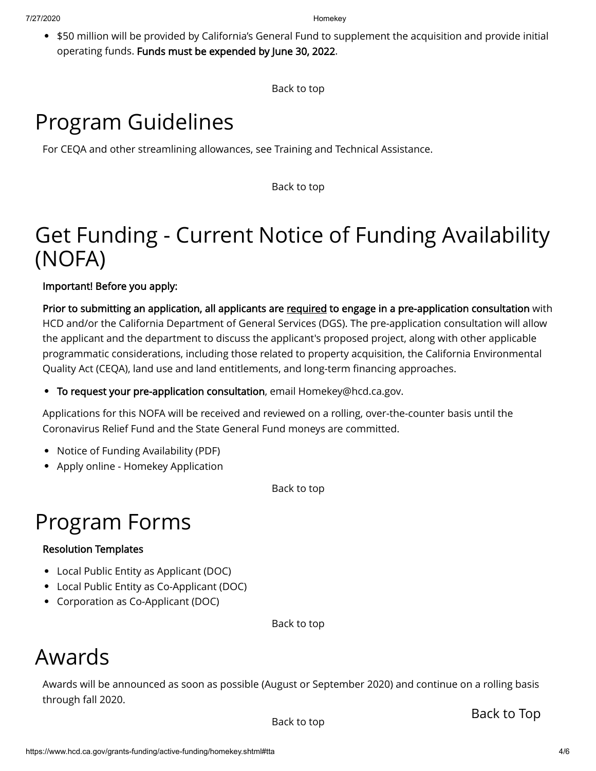• \$50 million will be provided by California's General Fund to supplement the acquisition and provide initial operating funds. Funds must be expended by June 30, 2022.

[Back to top](#page-0-1)

# <span id="page-3-0"></span>Program Guidelines

For CEQA and other streamlining allowances, see [Training and Technical Assistance](#page-4-0).

[Back to top](#page-0-1)

### <span id="page-3-1"></span>Get Funding - Current Notice of Funding Availability (NOFA)

Important! Before you apply:

Prior to submitting an application, all applicants are required to engage in a pre-application consultation with HCD and/or the California Department of General Services (DGS). The pre-application consultation will allow the applicant and the department to discuss the applicant's proposed project, along with other applicable programmatic considerations, including those related to property acquisition, the California Environmental Quality Act (CEQA), land use and land entitlements, and long-term financing approaches.

To request your pre-application consultation, email [Homekey@hcd.ca.gov](mailto:HomeKey@hcd.ca.gov).

Applications for this NOFA will be received and reviewed on a rolling, over-the-counter basis until the Coronavirus Relief Fund and the State General Fund moneys are committed.

- [Notice of Funding Availability](https://www.hcd.ca.gov/grants-funding/active-funding/homekey/docs/2020_HCD_HomeKey-NOFA_07-15-2020.pdf) (PDF)
- [Apply online Homekey Application](https://www.hcd.ca.gov/grants-funding/active-funding/homekey-application.shtml)

[Back to top](#page-0-1)

### <span id="page-3-2"></span>Program Forms

#### Resolution Templates

- [Local Public Entity as Applicant](https://www.hcd.ca.gov/grants-funding/active-funding/homekey/docs/Homekey-Resolution-Template-Local-Public-Entity-Applicant.docx) (DOC)
- [Local Public Entity as Co-Applicant](https://www.hcd.ca.gov/grants-funding/active-funding/homekey/docs/Homekey-Resolution-Template-Local-Public-Entity-Co-Applicant.docx) (DOC)
- [Corporation as Co-Applicant](https://www.hcd.ca.gov/grants-funding/active-funding/homekey/docs/Homekey-Resolution-Template-Corp-Co-Applicant.docx) (DOC)

[Back to top](#page-0-1)

### <span id="page-3-3"></span>Awards

Awards will be announced as soon as possible (August or September 2020) and continue on a rolling basis through fall 2020.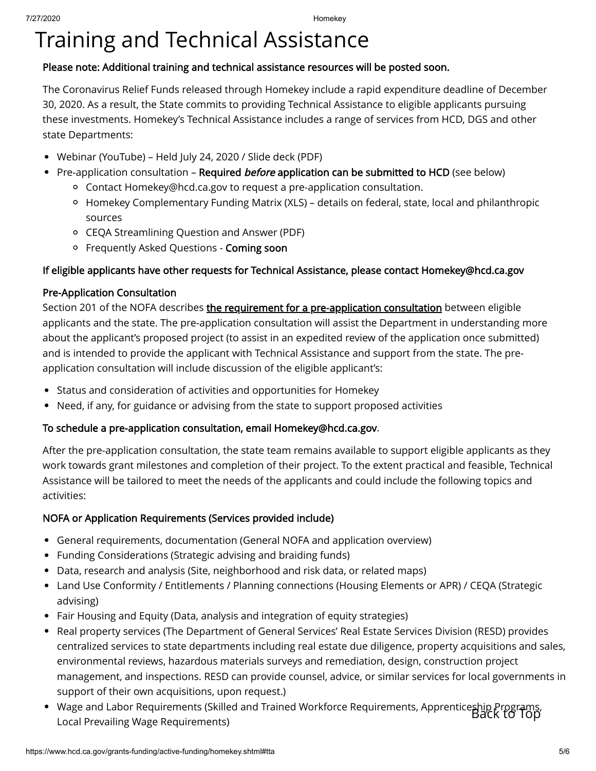## <span id="page-4-0"></span>Training and Technical Assistance

#### Please note: Additional training and technical assistance resources will be posted soon.

The Coronavirus Relief Funds released through Homekey include a rapid expenditure deadline of December 30, 2020. As a result, the State commits to providing Technical Assistance to eligible applicants pursuing these investments. Homekey's Technical Assistance includes a range of services from HCD, DGS and other state Departments:

- [Webinar](https://youtu.be/VoTG76_6WzM) (YouTube) Held July 24, 2020 / [Slide deck](https://www.hcd.ca.gov/grants-funding/active-funding/homekey/docs/Homekey-webinar-slide-deck-07-24-2020.pdf) (PDF)
- Pre-application consultation Required *before* application can be submitted to HCD (see below)  $\bullet$ 
	- Contact [Homekey@hcd.ca.gov](mailto:Homekey@hcd.ca.gov) to request a pre-application consultation.
	- [Homekey Complementary Funding Matrix](https://www.hcd.ca.gov/grants-funding/active-funding/homekey/docs/Homekey-Complementary-Funding-Matrix.xlsx) (XLS) details on federal, state, local and philanthropic sources
	- [CEQA Streamlining Question and Answer](https://www.hcd.ca.gov/grants-funding/active-funding/homekey/docs/QA-Homekey-CEQA-Exemption-Final.pdf) (PDF)
	- o Frequently Asked Questions Coming soon

#### If eligible applicants have other requests for Technical Assistance, please contact [Homekey@hcd.ca.gov](mailto:Homekey@hcd.ca.gov)

#### Pre-Application Consultation

Section 201 of the NOFA describes the requirement for a pre-application consultation between eligible applicants and the state. The pre-application consultation will assist the Department in understanding more about the applicant's proposed project (to assist in an expedited review of the application once submitted) and is intended to provide the applicant with Technical Assistance and support from the state. The preapplication consultation will include discussion of the eligible applicant's:

- Status and consideration of activities and opportunities for Homekey
- Need, if any, for guidance or advising from the state to support proposed activities

#### To schedule a pre-application consultation, email [Homekey@hcd.ca.gov](mailto:Homekey@hcd.ca.gov).

After the pre-application consultation, the state team remains available to support eligible applicants as they work towards grant milestones and completion of their project. To the extent practical and feasible, Technical Assistance will be tailored to meet the needs of the applicants and could include the following topics and activities:

#### NOFA or Application Requirements (Services provided include)

- General requirements, documentation (General NOFA and application overview)
- Funding Considerations (Strategic advising and braiding funds)
- Data, research and analysis (Site, neighborhood and risk data, or related maps)
- Land Use Conformity / Entitlements / Planning connections (Housing Elements or APR) / CEQA (Strategic advising)
- Fair Housing and Equity (Data, analysis and integration of equity strategies)
- Real property services (The Department of General Services' Real Estate Services Division (RESD) provides centralized services to state departments including real estate due diligence, property acquisitions and sales, environmental reviews, hazardous materials surveys and remediation, design, construction project management, and inspections. RESD can provide counsel, advice, or similar services for local governments in support of their own acquisitions, upon request.)
- Wage and Labor Requirements (Skilled and Trained Workforce Requirements, Apprenticeship Programs,<br>Local Prevailing Wage Requirements)